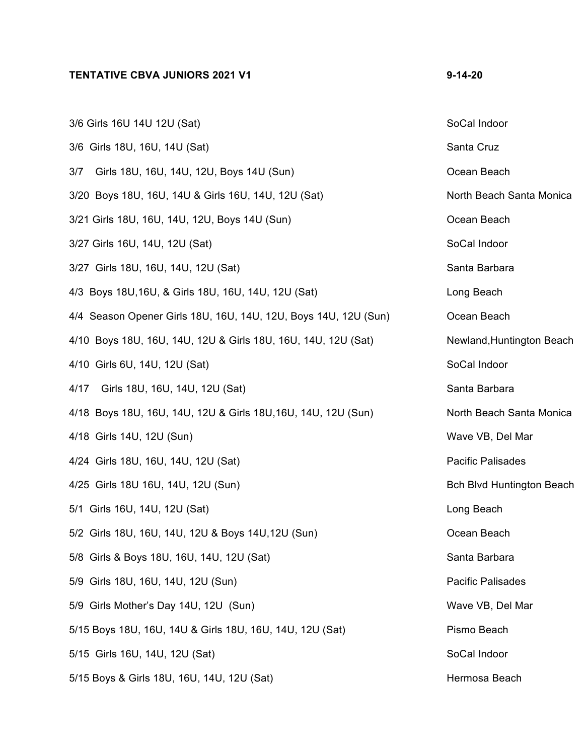## **TENTATIVE CBVA JUNIORS 2021 V1 9-14-20**

| 3/6 Girls 16U 14U 12U (Sat)                                     | SoCal Indoor                     |
|-----------------------------------------------------------------|----------------------------------|
| 3/6 Girls 18U, 16U, 14U (Sat)                                   | Santa Cruz                       |
| 3/7 Girls 18U, 16U, 14U, 12U, Boys 14U (Sun)                    | Ocean Beach                      |
| 3/20 Boys 18U, 16U, 14U & Girls 16U, 14U, 12U (Sat)             | North Beach Santa Monica         |
| 3/21 Girls 18U, 16U, 14U, 12U, Boys 14U (Sun)                   | Ocean Beach                      |
| 3/27 Girls 16U, 14U, 12U (Sat)                                  | SoCal Indoor                     |
| 3/27 Girls 18U, 16U, 14U, 12U (Sat)                             | Santa Barbara                    |
| 4/3 Boys 18U, 16U, & Girls 18U, 16U, 14U, 12U (Sat)             | Long Beach                       |
| 4/4 Season Opener Girls 18U, 16U, 14U, 12U, Boys 14U, 12U (Sun) | Ocean Beach                      |
| 4/10 Boys 18U, 16U, 14U, 12U & Girls 18U, 16U, 14U, 12U (Sat)   | Newland, Huntington Beach        |
| 4/10 Girls 6U, 14U, 12U (Sat)                                   | SoCal Indoor                     |
| 4/17 Girls 18U, 16U, 14U, 12U (Sat)                             | Santa Barbara                    |
| 4/18 Boys 18U, 16U, 14U, 12U & Girls 18U, 16U, 14U, 12U (Sun)   | North Beach Santa Monica         |
| 4/18 Girls 14U, 12U (Sun)                                       | Wave VB, Del Mar                 |
| 4/24 Girls 18U, 16U, 14U, 12U (Sat)                             | Pacific Palisades                |
| 4/25 Girls 18U 16U, 14U, 12U (Sun)                              | <b>Bch Blvd Huntington Beach</b> |
| 5/1 Girls 16U, 14U, 12U (Sat)                                   | Long Beach                       |
| 5/2 Girls 18U, 16U, 14U, 12U & Boys 14U, 12U (Sun)              | Ocean Beach                      |
| 5/8 Girls & Boys 18U, 16U, 14U, 12U (Sat)                       | Santa Barbara                    |
| 5/9 Girls 18U, 16U, 14U, 12U (Sun)                              | <b>Pacific Palisades</b>         |
| 5/9 Girls Mother's Day 14U, 12U (Sun)                           | Wave VB, Del Mar                 |
| 5/15 Boys 18U, 16U, 14U & Girls 18U, 16U, 14U, 12U (Sat)        | Pismo Beach                      |
| 5/15 Girls 16U, 14U, 12U (Sat)                                  | SoCal Indoor                     |
| 5/15 Boys & Girls 18U, 16U, 14U, 12U (Sat)                      | Hermosa Beach                    |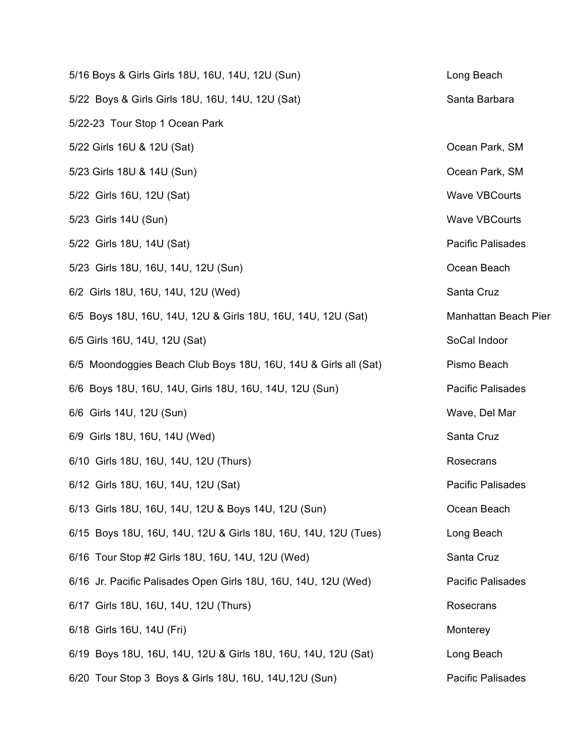| 5/16 Boys & Girls Girls 18U, 16U, 14U, 12U (Sun)                | Long Beach               |
|-----------------------------------------------------------------|--------------------------|
| 5/22 Boys & Girls Girls 18U, 16U, 14U, 12U (Sat)                | Santa Barbara            |
| 5/22-23 Tour Stop 1 Ocean Park                                  |                          |
| 5/22 Girls 16U & 12U (Sat)                                      | Ocean Park, SM           |
| 5/23 Girls 18U & 14U (Sun)                                      | Ocean Park, SM           |
| 5/22 Girls 16U, 12U (Sat)                                       | <b>Wave VBCourts</b>     |
| 5/23 Girls 14U (Sun)                                            | <b>Wave VBCourts</b>     |
| 5/22 Girls 18U, 14U (Sat)                                       | <b>Pacific Palisades</b> |
| 5/23 Girls 18U, 16U, 14U, 12U (Sun)                             | Ocean Beach              |
| 6/2 Girls 18U, 16U, 14U, 12U (Wed)                              | Santa Cruz               |
| 6/5 Boys 18U, 16U, 14U, 12U & Girls 18U, 16U, 14U, 12U (Sat)    | Manhattan Beach Pier     |
| 6/5 Girls 16U, 14U, 12U (Sat)                                   | SoCal Indoor             |
| 6/5 Moondoggies Beach Club Boys 18U, 16U, 14U & Girls all (Sat) | Pismo Beach              |
| 6/6 Boys 18U, 16U, 14U, Girls 18U, 16U, 14U, 12U (Sun)          | <b>Pacific Palisades</b> |
| 6/6 Girls 14U, 12U (Sun)                                        | Wave, Del Mar            |
| 6/9 Girls 18U, 16U, 14U (Wed)                                   | Santa Cruz               |
| 6/10 Girls 18U, 16U, 14U, 12U (Thurs)                           | Rosecrans                |
| 6/12 Girls 18U, 16U, 14U, 12U (Sat)                             | <b>Pacific Palisades</b> |
| 6/13 Girls 18U, 16U, 14U, 12U & Boys 14U, 12U (Sun)             | Ocean Beach              |
| 6/15 Boys 18U, 16U, 14U, 12U & Girls 18U, 16U, 14U, 12U (Tues)  | Long Beach               |
| 6/16 Tour Stop #2 Girls 18U, 16U, 14U, 12U (Wed)                | Santa Cruz               |
| 6/16 Jr. Pacific Palisades Open Girls 18U, 16U, 14U, 12U (Wed)  | <b>Pacific Palisades</b> |
| 6/17 Girls 18U, 16U, 14U, 12U (Thurs)                           | Rosecrans                |
| 6/18 Girls 16U, 14U (Fri)                                       | Monterey                 |
| 6/19 Boys 18U, 16U, 14U, 12U & Girls 18U, 16U, 14U, 12U (Sat)   | Long Beach               |
| 6/20 Tour Stop 3 Boys & Girls 18U, 16U, 14U, 12U (Sun)          | <b>Pacific Palisades</b> |
|                                                                 |                          |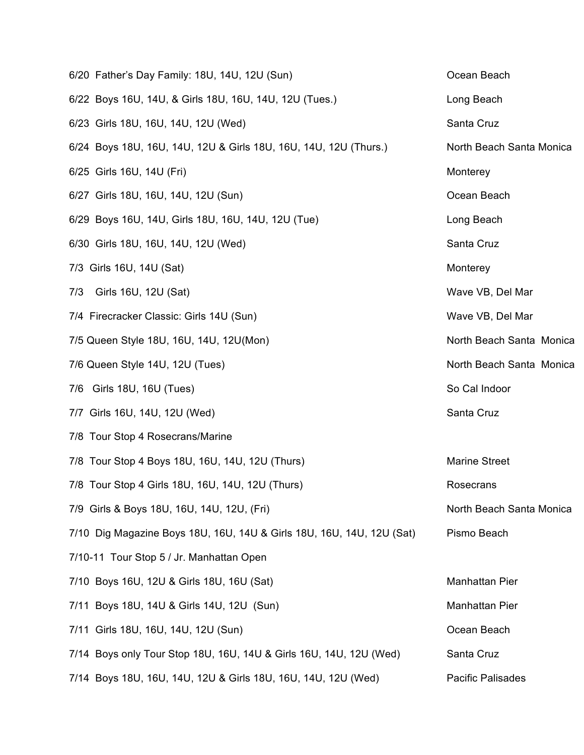| 6/20 Father's Day Family: 18U, 14U, 12U (Sun)                         | Ocean Beach              |
|-----------------------------------------------------------------------|--------------------------|
| 6/22 Boys 16U, 14U, & Girls 18U, 16U, 14U, 12U (Tues.)                | Long Beach               |
| 6/23 Girls 18U, 16U, 14U, 12U (Wed)                                   | Santa Cruz               |
| 6/24 Boys 18U, 16U, 14U, 12U & Girls 18U, 16U, 14U, 12U (Thurs.)      | North Beach Santa Monica |
| 6/25 Girls 16U, 14U (Fri)                                             | Monterey                 |
| 6/27 Girls 18U, 16U, 14U, 12U (Sun)                                   | Ocean Beach              |
| 6/29 Boys 16U, 14U, Girls 18U, 16U, 14U, 12U (Tue)                    | Long Beach               |
| 6/30 Girls 18U, 16U, 14U, 12U (Wed)                                   | Santa Cruz               |
| 7/3 Girls 16U, 14U (Sat)                                              | Monterey                 |
| 7/3 Girls 16U, 12U (Sat)                                              | Wave VB, Del Mar         |
| 7/4 Firecracker Classic: Girls 14U (Sun)                              | Wave VB, Del Mar         |
| 7/5 Queen Style 18U, 16U, 14U, 12U(Mon)                               | North Beach Santa Monica |
| 7/6 Queen Style 14U, 12U (Tues)                                       | North Beach Santa Monica |
| 7/6 Girls 18U, 16U (Tues)                                             | So Cal Indoor            |
| 7/7 Girls 16U, 14U, 12U (Wed)                                         | Santa Cruz               |
| 7/8 Tour Stop 4 Rosecrans/Marine                                      |                          |
| 7/8 Tour Stop 4 Boys 18U, 16U, 14U, 12U (Thurs)                       | <b>Marine Street</b>     |
| 7/8 Tour Stop 4 Girls 18U, 16U, 14U, 12U (Thurs)                      | Rosecrans                |
| 7/9 Girls & Boys 18U, 16U, 14U, 12U, (Fri)                            | North Beach Santa Monica |
| 7/10 Dig Magazine Boys 18U, 16U, 14U & Girls 18U, 16U, 14U, 12U (Sat) | Pismo Beach              |
| 7/10-11 Tour Stop 5 / Jr. Manhattan Open                              |                          |
| 7/10 Boys 16U, 12U & Girls 18U, 16U (Sat)                             | <b>Manhattan Pier</b>    |
| 7/11 Boys 18U, 14U & Girls 14U, 12U (Sun)                             | <b>Manhattan Pier</b>    |
| 7/11 Girls 18U, 16U, 14U, 12U (Sun)                                   | Ocean Beach              |
| 7/14 Boys only Tour Stop 18U, 16U, 14U & Girls 16U, 14U, 12U (Wed)    | Santa Cruz               |
| 7/14 Boys 18U, 16U, 14U, 12U & Girls 18U, 16U, 14U, 12U (Wed)         | Pacific Palisades        |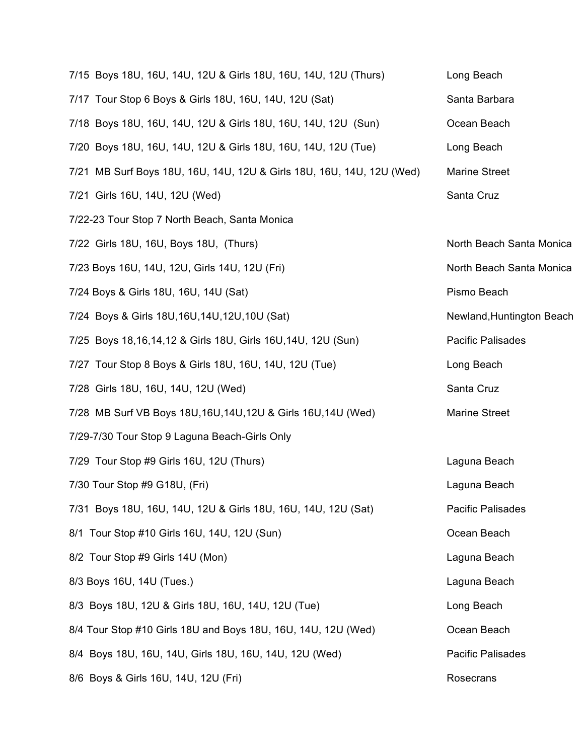| 7/15 Boys 18U, 16U, 14U, 12U & Girls 18U, 16U, 14U, 12U (Thurs)       | Long Beach                |
|-----------------------------------------------------------------------|---------------------------|
| 7/17 Tour Stop 6 Boys & Girls 18U, 16U, 14U, 12U (Sat)                | Santa Barbara             |
| 7/18 Boys 18U, 16U, 14U, 12U & Girls 18U, 16U, 14U, 12U (Sun)         | Ocean Beach               |
| 7/20 Boys 18U, 16U, 14U, 12U & Girls 18U, 16U, 14U, 12U (Tue)         | Long Beach                |
| 7/21 MB Surf Boys 18U, 16U, 14U, 12U & Girls 18U, 16U, 14U, 12U (Wed) | <b>Marine Street</b>      |
| 7/21 Girls 16U, 14U, 12U (Wed)                                        | Santa Cruz                |
| 7/22-23 Tour Stop 7 North Beach, Santa Monica                         |                           |
| 7/22 Girls 18U, 16U, Boys 18U, (Thurs)                                | North Beach Santa Monica  |
| 7/23 Boys 16U, 14U, 12U, Girls 14U, 12U (Fri)                         | North Beach Santa Monica  |
| 7/24 Boys & Girls 18U, 16U, 14U (Sat)                                 | Pismo Beach               |
| 7/24 Boys & Girls 18U, 16U, 14U, 12U, 10U (Sat)                       | Newland, Huntington Beach |
| 7/25 Boys 18,16,14,12 & Girls 18U, Girls 16U,14U, 12U (Sun)           | <b>Pacific Palisades</b>  |
| 7/27 Tour Stop 8 Boys & Girls 18U, 16U, 14U, 12U (Tue)                | Long Beach                |
| 7/28 Girls 18U, 16U, 14U, 12U (Wed)                                   | Santa Cruz                |
| 7/28 MB Surf VB Boys 18U, 16U, 14U, 12U & Girls 16U, 14U (Wed)        | <b>Marine Street</b>      |
| 7/29-7/30 Tour Stop 9 Laguna Beach-Girls Only                         |                           |
| 7/29 Tour Stop #9 Girls 16U, 12U (Thurs)                              | Laguna Beach              |
| 7/30 Tour Stop #9 G18U, (Fri)                                         | Laguna Beach              |
| 7/31 Boys 18U, 16U, 14U, 12U & Girls 18U, 16U, 14U, 12U (Sat)         | <b>Pacific Palisades</b>  |
| 8/1 Tour Stop #10 Girls 16U, 14U, 12U (Sun)                           | Ocean Beach               |
| 8/2 Tour Stop #9 Girls 14U (Mon)                                      | Laguna Beach              |
| 8/3 Boys 16U, 14U (Tues.)                                             | Laguna Beach              |
| 8/3 Boys 18U, 12U & Girls 18U, 16U, 14U, 12U (Tue)                    | Long Beach                |
| 8/4 Tour Stop #10 Girls 18U and Boys 18U, 16U, 14U, 12U (Wed)         | Ocean Beach               |
| 8/4 Boys 18U, 16U, 14U, Girls 18U, 16U, 14U, 12U (Wed)                | Pacific Palisades         |
| 8/6 Boys & Girls 16U, 14U, 12U (Fri)                                  | Rosecrans                 |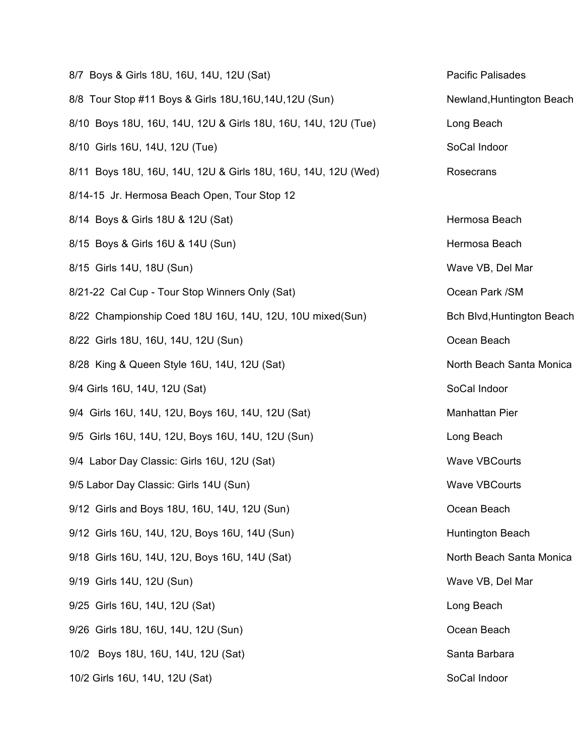| 8/7 Boys & Girls 18U, 16U, 14U, 12U (Sat)                     | <b>Pacific Palisades</b>   |
|---------------------------------------------------------------|----------------------------|
| 8/8 Tour Stop #11 Boys & Girls 18U, 16U, 14U, 12U (Sun)       | Newland, Huntington Beach  |
| 8/10 Boys 18U, 16U, 14U, 12U & Girls 18U, 16U, 14U, 12U (Tue) | Long Beach                 |
| 8/10 Girls 16U, 14U, 12U (Tue)                                | SoCal Indoor               |
| 8/11 Boys 18U, 16U, 14U, 12U & Girls 18U, 16U, 14U, 12U (Wed) | Rosecrans                  |
| 8/14-15 Jr. Hermosa Beach Open, Tour Stop 12                  |                            |
| 8/14 Boys & Girls 18U & 12U (Sat)                             | Hermosa Beach              |
| 8/15 Boys & Girls 16U & 14U (Sun)                             | Hermosa Beach              |
| 8/15 Girls 14U, 18U (Sun)                                     | Wave VB, Del Mar           |
| 8/21-22 Cal Cup - Tour Stop Winners Only (Sat)                | Ocean Park /SM             |
| 8/22 Championship Coed 18U 16U, 14U, 12U, 10U mixed(Sun)      | Bch Blvd, Huntington Beach |
| 8/22 Girls 18U, 16U, 14U, 12U (Sun)                           | Ocean Beach                |
| 8/28 King & Queen Style 16U, 14U, 12U (Sat)                   | North Beach Santa Monica   |
| 9/4 Girls 16U, 14U, 12U (Sat)                                 | SoCal Indoor               |
| 9/4 Girls 16U, 14U, 12U, Boys 16U, 14U, 12U (Sat)             | Manhattan Pier             |
| 9/5 Girls 16U, 14U, 12U, Boys 16U, 14U, 12U (Sun)             | Long Beach                 |
| 9/4 Labor Day Classic: Girls 16U, 12U (Sat)                   | <b>Wave VBCourts</b>       |
| 9/5 Labor Day Classic: Girls 14U (Sun)                        | <b>Wave VBCourts</b>       |
| 9/12 Girls and Boys 18U, 16U, 14U, 12U (Sun)                  | Ocean Beach                |
| 9/12 Girls 16U, 14U, 12U, Boys 16U, 14U (Sun)                 | Huntington Beach           |
| 9/18 Girls 16U, 14U, 12U, Boys 16U, 14U (Sat)                 | North Beach Santa Monica   |
| 9/19 Girls 14U, 12U (Sun)                                     | Wave VB, Del Mar           |
| 9/25 Girls 16U, 14U, 12U (Sat)                                | Long Beach                 |
| 9/26 Girls 18U, 16U, 14U, 12U (Sun)                           | Ocean Beach                |
| 10/2 Boys 18U, 16U, 14U, 12U (Sat)                            | Santa Barbara              |
| 10/2 Girls 16U, 14U, 12U (Sat)                                | SoCal Indoor               |